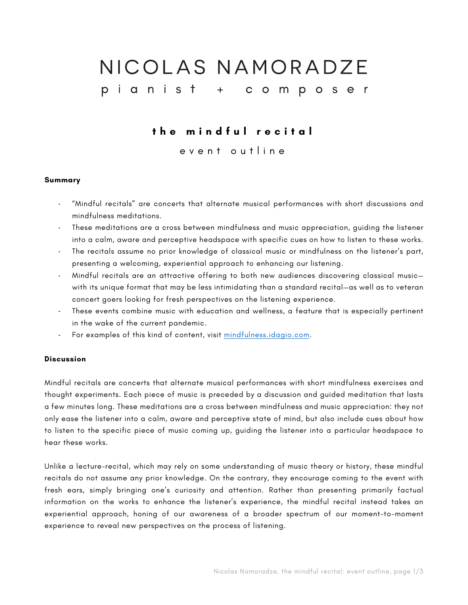# NICOLAS NAMORADZE pianist + composer

# **the mindful recital**

event outline

## **Summary**

- "Mindful recitals" are concerts that alternate musical performances with short discussions and mindfulness meditations.
- These meditations are a cross between mindfulness and music appreciation, guiding the listener into a calm, aware and perceptive headspace with specific cues on how to listen to these works.
- The recitals assume no prior knowledge of classical music or mindfulness on the listener's part, presenting a welcoming, experiential approach to enhancing our listening.
- Mindful recitals are an attractive offering to both new audiences discovering classical music with its unique format that may be less intimidating than a standard recital—as well as to veteran concert goers looking for fresh perspectives on the listening experience.
- These events combine music with education and wellness, a feature that is especially pertinent in the wake of the current pandemic.
- For examples of this kind of content, visit mindfulness.idagio.com.

# **Discussion**

Mindful recitals are concerts that alternate musical performances with short mindfulness exercises and thought experiments. Each piece of music is preceded by a discussion and guided meditation that lasts a few minutes long. These meditations are a cross between mindfulness and music appreciation: they not only ease the listener into a calm, aware and perceptive state of mind, but also include cues about how to listen to the specific piece of music coming up, guiding the listener into a particular headspace to hear these works.

Unlike a lecture-recital, which may rely on some understanding of music theory or history, these mindful recitals do not assume any prior knowledge. On the contrary, they encourage coming to the event with fresh ears, simply bringing one's curiosity and attention. Rather than presenting primarily factual information on the works to enhance the listener's experience, the mindful recital instead takes an experiential approach, honing of our awareness of a broader spectrum of our moment-to-moment experience to reveal new perspectives on the process of listening.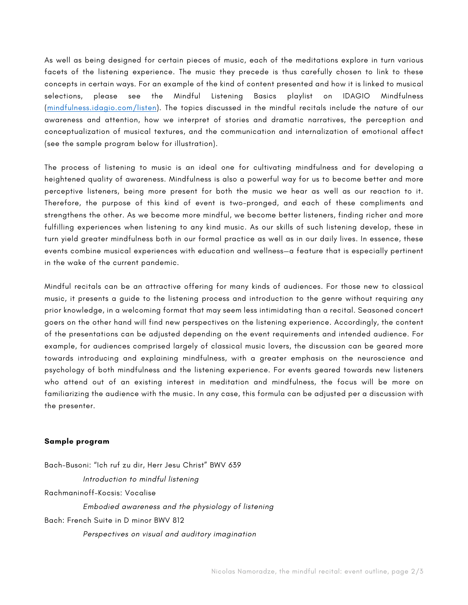As well as being designed for certain pieces of music, each of the meditations explore in turn various facets of the listening experience. The music they precede is thus carefully chosen to link to these concepts in certain ways. For an example of the kind of content presented and how it is linked to musical selections, please see the Mindful Listening Basics playlist on IDAGIO Mindfulness (mindfulness.idagio.com/listen). The topics discussed in the mindful recitals include the nature of our awareness and attention, how we interpret of stories and dramatic narratives, the perception and conceptualization of musical textures, and the communication and internalization of emotional affect (see the sample program below for illustration).

The process of listening to music is an ideal one for cultivating mindfulness and for developing a heightened quality of awareness. Mindfulness is also a powerful way for us to become better and more perceptive listeners, being more present for both the music we hear as well as our reaction to it. Therefore, the purpose of this kind of event is two-pronged, and each of these compliments and strengthens the other. As we become more mindful, we become better listeners, finding richer and more fulfilling experiences when listening to any kind music. As our skills of such listening develop, these in turn yield greater mindfulness both in our formal practice as well as in our daily lives. In essence, these events combine musical experiences with education and wellness—a feature that is especially pertinent in the wake of the current pandemic.

Mindful recitals can be an attractive offering for many kinds of audiences. For those new to classical music, it presents a guide to the listening process and introduction to the genre without requiring any prior knowledge, in a welcoming format that may seem less intimidating than a recital. Seasoned concert goers on the other hand will find new perspectives on the listening experience. Accordingly, the content of the presentations can be adjusted depending on the event requirements and intended audience. For example, for audiences comprised largely of classical music lovers, the discussion can be geared more towards introducing and explaining mindfulness, with a greater emphasis on the neuroscience and psychology of both mindfulness and the listening experience. For events geared towards new listeners who attend out of an existing interest in meditation and mindfulness, the focus will be more on familiarizing the audience with the music. In any case, this formula can be adjusted per a discussion with the presenter.

### **Sample program**

Bach-Busoni: "Ich ruf zu dir, Herr Jesu Christ" BWV 639 *Introduction to mindful listening* Rachmaninoff-Kocsis: Vocalise *Embodied awareness and the physiology of listening* Bach: French Suite in D minor BWV 812 *Perspectives on visual and auditory imagination*